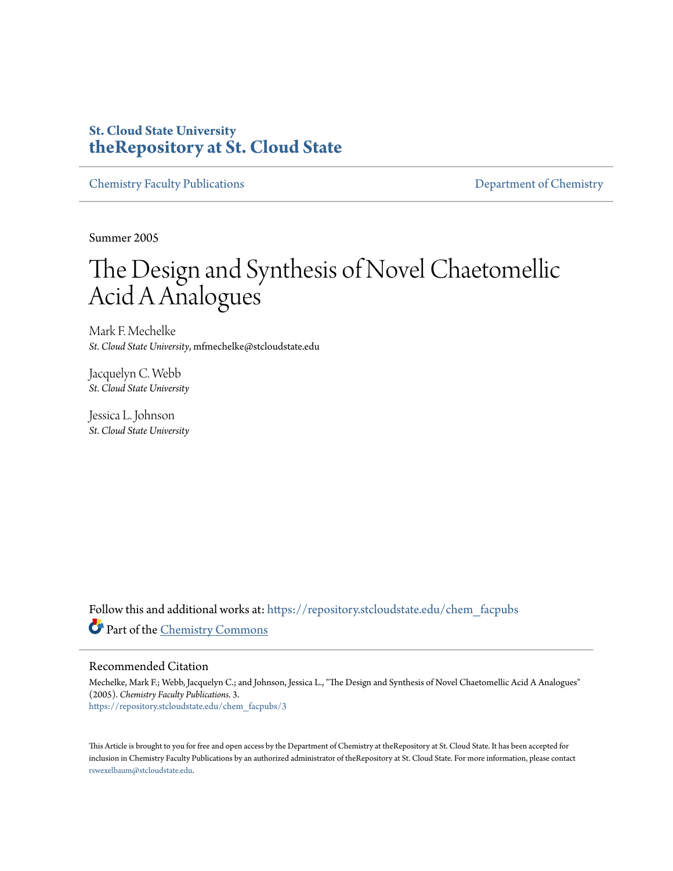### **St. Cloud State University [theRepository at St. Cloud State](https://repository.stcloudstate.edu?utm_source=repository.stcloudstate.edu%2Fchem_facpubs%2F3&utm_medium=PDF&utm_campaign=PDFCoverPages)**

[Chemistry Faculty Publications](https://repository.stcloudstate.edu/chem_facpubs?utm_source=repository.stcloudstate.edu%2Fchem_facpubs%2F3&utm_medium=PDF&utm_campaign=PDFCoverPages) **[Department of Chemistry](https://repository.stcloudstate.edu/chem?utm_source=repository.stcloudstate.edu%2Fchem_facpubs%2F3&utm_medium=PDF&utm_campaign=PDFCoverPages)** 

Summer 2005

# The Design and Synthesis of Novel Chaetomellic Acid A Analogues

Mark F. Mechelke *St. Cloud State University*, mfmechelke@stcloudstate.edu

Jacquelyn C. Webb *St. Cloud State University*

Jessica L. Johnson *St. Cloud State University*

Follow this and additional works at: [https://repository.stcloudstate.edu/chem\\_facpubs](https://repository.stcloudstate.edu/chem_facpubs?utm_source=repository.stcloudstate.edu%2Fchem_facpubs%2F3&utm_medium=PDF&utm_campaign=PDFCoverPages) Part of the [Chemistry Commons](http://network.bepress.com/hgg/discipline/131?utm_source=repository.stcloudstate.edu%2Fchem_facpubs%2F3&utm_medium=PDF&utm_campaign=PDFCoverPages)

#### Recommended Citation

Mechelke, Mark F.; Webb, Jacquelyn C.; and Johnson, Jessica L., "The Design and Synthesis of Novel Chaetomellic Acid A Analogues" (2005). *Chemistry Faculty Publications*. 3. [https://repository.stcloudstate.edu/chem\\_facpubs/3](https://repository.stcloudstate.edu/chem_facpubs/3?utm_source=repository.stcloudstate.edu%2Fchem_facpubs%2F3&utm_medium=PDF&utm_campaign=PDFCoverPages)

This Article is brought to you for free and open access by the Department of Chemistry at theRepository at St. Cloud State. It has been accepted for inclusion in Chemistry Faculty Publications by an authorized administrator of theRepository at St. Cloud State. For more information, please contact [rswexelbaum@stcloudstate.edu](mailto:rswexelbaum@stcloudstate.edu).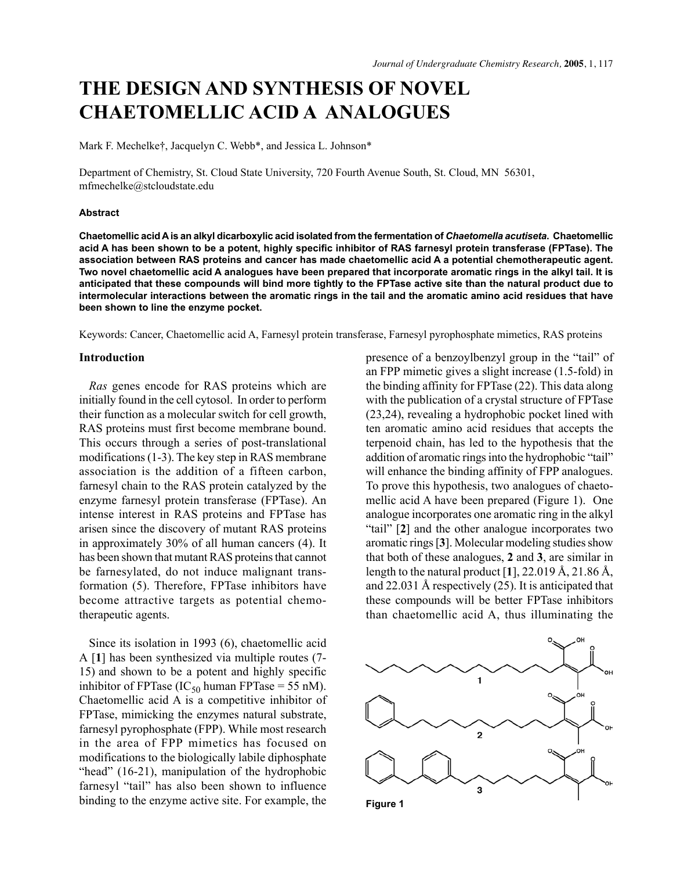## **THE DESIGN AND SYNTHESIS OF NOVEL CHAETOMELLIC ACID A ANALOGUES**

Mark F. Mechelke†, Jacquelyn C. Webb\*, and Jessica L. Johnson\*

Department of Chemistry, St. Cloud State University, 720 Fourth Avenue South, St. Cloud, MN 56301, mfmechelke@stcloudstate.edu

#### **Abstract**

**Chaetomellic acid A is an alkyl dicarboxylic acid isolated from the fermentation of** *Chaetomella acutiseta***. Chaetomellic acid A has been shown to be a potent, highly specific inhibitor of RAS farnesyl protein transferase (FPTase). The association between RAS proteins and cancer has made chaetomellic acid A a potential chemotherapeutic agent. Two novel chaetomellic acid A analogues have been prepared that incorporate aromatic rings in the alkyl tail. It is anticipated that these compounds will bind more tightly to the FPTase active site than the natural product due to intermolecular interactions between the aromatic rings in the tail and the aromatic amino acid residues that have been shown to line the enzyme pocket.**

Keywords: Cancer, Chaetomellic acid A, Farnesyl protein transferase, Farnesyl pyrophosphate mimetics, RAS proteins

#### **Introduction**

*Ras* genes encode for RAS proteins which are initially found in the cell cytosol. In order to perform their function as a molecular switch for cell growth, RAS proteins must first become membrane bound. This occurs through a series of post-translational modifications (1-3). The key step in RAS membrane association is the addition of a fifteen carbon, farnesyl chain to the RAS protein catalyzed by the enzyme farnesyl protein transferase (FPTase). An intense interest in RAS proteins and FPTase has arisen since the discovery of mutant RAS proteins in approximately 30% of all human cancers (4). It has been shown that mutant RAS proteins that cannot be farnesylated, do not induce malignant transformation (5). Therefore, FPTase inhibitors have become attractive targets as potential chemotherapeutic agents.

Since its isolation in 1993 (6), chaetomellic acid A [**1**] has been synthesized via multiple routes (7- 15) and shown to be a potent and highly specific inhibitor of FPTase (IC<sub>50</sub> human FPTase = 55 nM). Chaetomellic acid A is a competitive inhibitor of FPTase, mimicking the enzymes natural substrate, farnesyl pyrophosphate (FPP). While most research in the area of FPP mimetics has focused on modifications to the biologically labile diphosphate "head" (16-21), manipulation of the hydrophobic farnesyl "tail" has also been shown to influence binding to the enzyme active site. For example, the presence of a benzoylbenzyl group in the "tail" of an FPP mimetic gives a slight increase (1.5-fold) in the binding affinity for FPTase (22). This data along with the publication of a crystal structure of FPTase (23,24), revealing a hydrophobic pocket lined with ten aromatic amino acid residues that accepts the terpenoid chain, has led to the hypothesis that the addition of aromatic rings into the hydrophobic "tail" will enhance the binding affinity of FPP analogues. To prove this hypothesis, two analogues of chaetomellic acid A have been prepared (Figure 1). One analogue incorporates one aromatic ring in the alkyl "tail" [**2**] and the other analogue incorporates two aromatic rings [**3**]. Molecular modeling studies show that both of these analogues, **2** and **3**, are similar in length to the natural product [**1**], 22.019 Å, 21.86 Å, and 22.031 Å respectively (25). It is anticipated that these compounds will be better FPTase inhibitors than chaetomellic acid A, thus illuminating the

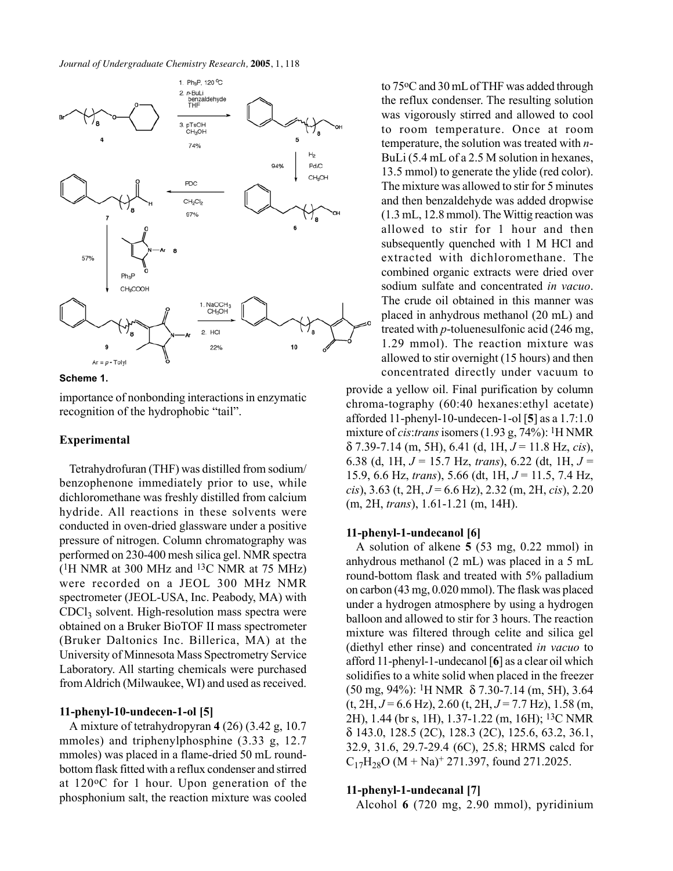

**Scheme 1.**

importance of nonbonding interactions in enzymatic recognition of the hydrophobic "tail".

#### **Experimental**

Tetrahydrofuran (THF) was distilled from sodium/ benzophenone immediately prior to use, while dichloromethane was freshly distilled from calcium hydride. All reactions in these solvents were conducted in oven-dried glassware under a positive pressure of nitrogen. Column chromatography was performed on 230-400 mesh silica gel. NMR spectra  $(1H NMR at 300 MHz and 13C NMR at 75 MHz)$ were recorded on a JEOL 300 MHz NMR spectrometer (JEOL-USA, Inc. Peabody, MA) with  $CDCl<sub>3</sub>$  solvent. High-resolution mass spectra were obtained on a Bruker BioTOF II mass spectrometer (Bruker Daltonics Inc. Billerica, MA) at the University of Minnesota Mass Spectrometry Service Laboratory. All starting chemicals were purchased from Aldrich (Milwaukee, WI) and used as received.

#### **11-phenyl-10-undecen-1-ol [5]**

A mixture of tetrahydropyran **4** (26) (3.42 g, 10.7 mmoles) and triphenylphosphine (3.33 g, 12.7) mmoles) was placed in a flame-dried 50 mL roundbottom flask fitted with a reflux condenser and stirred at 120oC for 1 hour. Upon generation of the phosphonium salt, the reaction mixture was cooled

to 75oC and 30 mL of THF was added through the reflux condenser. The resulting solution was vigorously stirred and allowed to cool to room temperature. Once at room temperature, the solution was treated with *n*-BuLi (5.4 mL of a 2.5 M solution in hexanes, 13.5 mmol) to generate the ylide (red color). The mixture was allowed to stir for 5 minutes and then benzaldehyde was added dropwise (1.3 mL, 12.8 mmol). The Wittig reaction was allowed to stir for 1 hour and then subsequently quenched with 1 M HCl and extracted with dichloromethane. The combined organic extracts were dried over sodium sulfate and concentrated *in vacuo*. The crude oil obtained in this manner was placed in anhydrous methanol (20 mL) and treated with *p*-toluenesulfonic acid (246 mg, 1.29 mmol). The reaction mixture was allowed to stir overnight (15 hours) and then concentrated directly under vacuum to

provide a yellow oil. Final purification by column chroma-tography (60:40 hexanes:ethyl acetate) afforded 11-phenyl-10-undecen-1-ol [**5**] as a 1.7:1.0 mixture of *cis*:*trans* isomers (1.93 g, 74%): 1H NMR δ 7.39-7.14 (m, 5H), 6.41 (d, 1H, *J* = 11.8 Hz, *cis*), 6.38 (d, 1H, *J* = 15.7 Hz, *trans*), 6.22 (dt, 1H, *J* = 15.9, 6.6 Hz, *trans*), 5.66 (dt, 1H, *J* = 11.5, 7.4 Hz, *cis*), 3.63 (t, 2H, *J* = 6.6 Hz), 2.32 (m, 2H, *cis*), 2.20 (m, 2H, *trans*), 1.61-1.21 (m, 14H).

#### **11-phenyl-1-undecanol [6]**

A solution of alkene **5** (53 mg, 0.22 mmol) in anhydrous methanol (2 mL) was placed in a 5 mL round-bottom flask and treated with 5% palladium on carbon (43 mg, 0.020 mmol). The flask was placed under a hydrogen atmosphere by using a hydrogen balloon and allowed to stir for 3 hours. The reaction mixture was filtered through celite and silica gel (diethyl ether rinse) and concentrated *in vacuo* to afford 11-phenyl-1-undecanol [**6**] as a clear oil which solidifies to a white solid when placed in the freezer (50 mg, 94%): 1H NMR δ 7.30-7.14 (m, 5H), 3.64 (t, 2H, *J* = 6.6 Hz), 2.60 (t, 2H, *J* = 7.7 Hz), 1.58 (m, 2H), 1.44 (br s, 1H), 1.37-1.22 (m, 16H); 13C NMR δ 143.0, 128.5 (2C), 128.3 (2C), 125.6, 63.2, 36.1, 32.9, 31.6, 29.7-29.4 (6C), 25.8; HRMS calcd for  $C_{17}H_{28}O (M + Na)^{+}$  271.397, found 271.2025.

#### **11-phenyl-1-undecanal [7]**

Alcohol **6** (720 mg, 2.90 mmol), pyridinium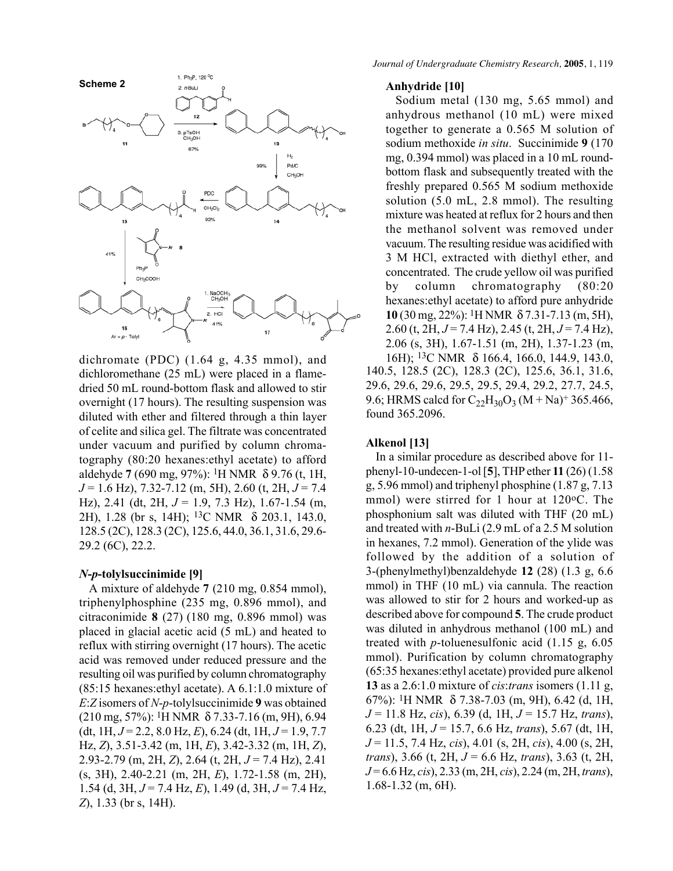

dichromate (PDC) (1.64 g, 4.35 mmol), and dichloromethane (25 mL) were placed in a flamedried 50 mL round-bottom flask and allowed to stir overnight (17 hours). The resulting suspension was diluted with ether and filtered through a thin layer of celite and silica gel. The filtrate was concentrated under vacuum and purified by column chromatography (80:20 hexanes:ethyl acetate) to afford aldehyde **7** (690 mg, 97%): 1H NMR δ 9.76 (t, 1H, *J* = 1.6 Hz), 7.32-7.12 (m, 5H), 2.60 (t, 2H, *J* = 7.4 Hz), 2.41 (dt, 2H, *J* = 1.9, 7.3 Hz), 1.67-1.54 (m, 2H), 1.28 (br s, 14H); 13C NMR δ 203.1, 143.0, 128.5 (2C), 128.3 (2C), 125.6, 44.0, 36.1, 31.6, 29.6- 29.2 (6C), 22.2.

#### *N***-***p***-tolylsuccinimide [9]**

A mixture of aldehyde **7** (210 mg, 0.854 mmol), triphenylphosphine (235 mg, 0.896 mmol), and citraconimide **8** (27) (180 mg, 0.896 mmol) was placed in glacial acetic acid (5 mL) and heated to reflux with stirring overnight (17 hours). The acetic acid was removed under reduced pressure and the resulting oil was purified by column chromatography (85:15 hexanes:ethyl acetate). A 6.1:1.0 mixture of *E*:*Z* isomers of *N*-*p*-tolylsuccinimide **9** was obtained (210 mg, 57%): 1H NMR δ 7.33-7.16 (m, 9H), 6.94 (dt, 1H,  $J = 2.2$ , 8.0 Hz, E), 6.24 (dt, 1H,  $J = 1.9, 7.7$ Hz, *Z*), 3.51-3.42 (m, 1H, *E*), 3.42-3.32 (m, 1H, *Z*), 2.93-2.79 (m, 2H, *Z*), 2.64 (t, 2H, *J* = 7.4 Hz), 2.41 (s, 3H), 2.40-2.21 (m, 2H, *E*), 1.72-1.58 (m, 2H), 1.54 (d, 3H, *J* = 7.4 Hz, *E*), 1.49 (d, 3H, *J* = 7.4 Hz, *Z*), 1.33 (br s, 14H).

#### **Anhydride [10]**

Sodium metal (130 mg, 5.65 mmol) and anhydrous methanol (10 mL) were mixed together to generate a 0.565 M solution of sodium methoxide *in situ*. Succinimide **9** (170 mg, 0.394 mmol) was placed in a 10 mL roundbottom flask and subsequently treated with the freshly prepared 0.565 M sodium methoxide solution (5.0 mL, 2.8 mmol). The resulting mixture was heated at reflux for 2 hours and then the methanol solvent was removed under vacuum. The resulting residue was acidified with 3 M HCl, extracted with diethyl ether, and concentrated. The crude yellow oil was purified by column chromatography (80:20 hexanes:ethyl acetate) to afford pure anhydride **10** (30 mg, 22%): 1H NMR δ 7.31-7.13 (m, 5H), 2.60 (t, 2H, *J* = 7.4 Hz), 2.45 (t, 2H, *J* = 7.4 Hz), 2.06 (s, 3H), 1.67-1.51 (m, 2H), 1.37-1.23 (m, 16H); 13C NMR δ 166.4, 166.0, 144.9, 143.0, 140.5, 128.5 (2C), 128.3 (2C), 125.6, 36.1, 31.6, 29.6, 29.6, 29.6, 29.5, 29.5, 29.4, 29.2, 27.7, 24.5, 9.6; HRMS calcd for  $C_{22}H_{30}O_3$  (M + Na)<sup>+</sup> 365.466, found 365.2096.

#### **Alkenol [13]**

In a similar procedure as described above for 11 phenyl-10-undecen-1-ol [**5**], THP ether **11** (26) (1.58 g, 5.96 mmol) and triphenyl phosphine (1.87 g, 7.13 mmol) were stirred for 1 hour at 120 °C. The phosphonium salt was diluted with THF (20 mL) and treated with *n*-BuLi (2.9 mL of a 2.5 M solution in hexanes, 7.2 mmol). Generation of the ylide was followed by the addition of a solution of 3-(phenylmethyl)benzaldehyde **12** (28) (1.3 g, 6.6 mmol) in THF (10 mL) via cannula. The reaction was allowed to stir for 2 hours and worked-up as described above for compound **5**. The crude product was diluted in anhydrous methanol (100 mL) and treated with *p*-toluenesulfonic acid (1.15 g, 6.05 mmol). Purification by column chromatography (65:35 hexanes:ethyl acetate) provided pure alkenol **13** as a 2.6:1.0 mixture of *cis*:*trans* isomers (1.11 g, 67%): 1H NMR δ 7.38-7.03 (m, 9H), 6.42 (d, 1H, *J* = 11.8 Hz, *cis*), 6.39 (d, 1H, *J* = 15.7 Hz, *trans*), 6.23 (dt, 1H, *J* = 15.7, 6.6 Hz, *trans*), 5.67 (dt, 1H, *J* = 11.5, 7.4 Hz, *cis*), 4.01 (s, 2H, *cis*), 4.00 (s, 2H, *trans*), 3.66 (t, 2H, *J* = 6.6 Hz, *trans*), 3.63 (t, 2H, *J* = 6.6 Hz, *cis*), 2.33 (m, 2H, *cis*), 2.24 (m, 2H, *trans*), 1.68-1.32 (m, 6H).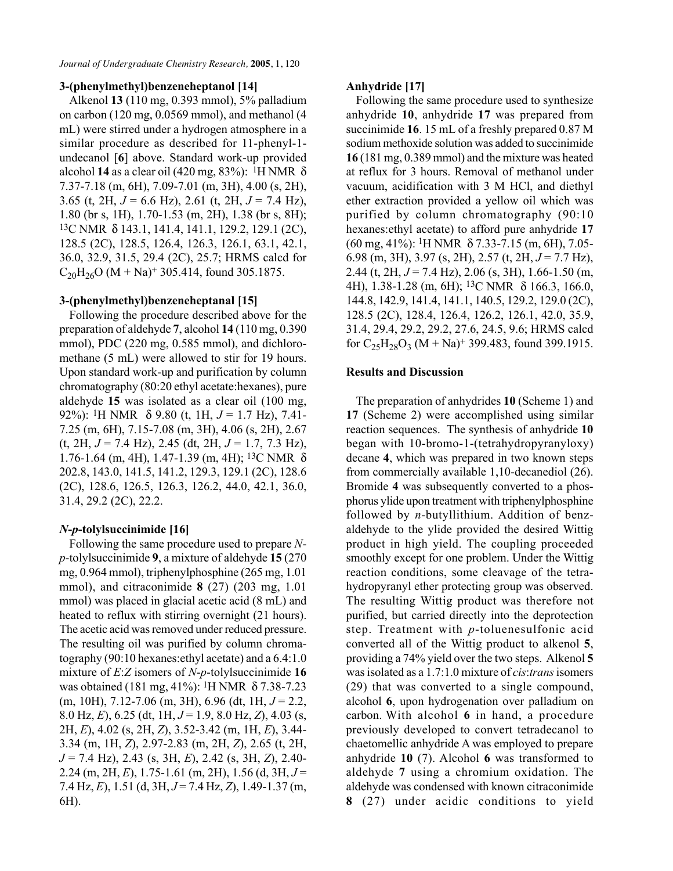*Journal of Undergraduate Chemistry Research,* **2005**, 1, 120

#### **3-(phenylmethyl)benzeneheptanol [14]**

Alkenol **13** (110 mg, 0.393 mmol), 5% palladium on carbon (120 mg, 0.0569 mmol), and methanol (4 mL) were stirred under a hydrogen atmosphere in a similar procedure as described for 11-phenyl-1 undecanol [**6**] above. Standard work-up provided alcohol **14** as a clear oil (420 mg, 83%): 1H NMR δ 7.37-7.18 (m, 6H), 7.09-7.01 (m, 3H), 4.00 (s, 2H), 3.65 (t, 2H, *J* = 6.6 Hz), 2.61 (t, 2H, *J* = 7.4 Hz), 1.80 (br s, 1H), 1.70-1.53 (m, 2H), 1.38 (br s, 8H); 13C NMR δ 143.1, 141.4, 141.1, 129.2, 129.1 (2C), 128.5 (2C), 128.5, 126.4, 126.3, 126.1, 63.1, 42.1, 36.0, 32.9, 31.5, 29.4 (2C), 25.7; HRMS calcd for  $C_{20}H_{26}O (M + Na)^+$  305.414, found 305.1875.

#### **3-(phenylmethyl)benzeneheptanal [15]**

Following the procedure described above for the preparation of aldehyde **7**, alcohol **14** (110 mg, 0.390 mmol), PDC (220 mg, 0.585 mmol), and dichloromethane (5 mL) were allowed to stir for 19 hours. Upon standard work-up and purification by column chromatography (80:20 ethyl acetate:hexanes), pure aldehyde **15** was isolated as a clear oil (100 mg, 92%): 1H NMR δ 9.80 (t, 1H, *J* = 1.7 Hz), 7.41- 7.25 (m, 6H), 7.15-7.08 (m, 3H), 4.06 (s, 2H), 2.67 (t, 2H, *J* = 7.4 Hz), 2.45 (dt, 2H, *J* = 1.7, 7.3 Hz), 1.76-1.64 (m, 4H), 1.47-1.39 (m, 4H); <sup>13</sup>C NMR δ 202.8, 143.0, 141.5, 141.2, 129.3, 129.1 (2C), 128.6 (2C), 128.6, 126.5, 126.3, 126.2, 44.0, 42.1, 36.0, 31.4, 29.2 (2C), 22.2.

#### *N***-***p***-tolylsuccinimide [16]**

Following the same procedure used to prepare *Np*-tolylsuccinimide **9**, a mixture of aldehyde **15** (270 mg, 0.964 mmol), triphenylphosphine (265 mg, 1.01 mmol), and citraconimide **8** (27) (203 mg, 1.01 mmol) was placed in glacial acetic acid (8 mL) and heated to reflux with stirring overnight (21 hours). The acetic acid was removed under reduced pressure. The resulting oil was purified by column chromatography (90:10 hexanes:ethyl acetate) and a 6.4:1.0 mixture of *E*:*Z* isomers of *N*-*p*-tolylsuccinimide **16** was obtained (181 mg, 41%): 1H NMR δ 7.38-7.23 (m, 10H), 7.12-7.06 (m, 3H), 6.96 (dt, 1H, *J* = 2.2, 8.0 Hz, *E*), 6.25 (dt, 1H, *J* = 1.9, 8.0 Hz, *Z*), 4.03 (s, 2H, *E*), 4.02 (s, 2H, *Z*), 3.52-3.42 (m, 1H, *E*), 3.44- 3.34 (m, 1H, *Z*), 2.97-2.83 (m, 2H, *Z*), 2.65 (t, 2H, *J* = 7.4 Hz), 2.43 (s, 3H, *E*), 2.42 (s, 3H, *Z*), 2.40- 2.24 (m, 2H, *E*), 1.75-1.61 (m, 2H), 1.56 (d, 3H, *J* = 7.4 Hz, *E*), 1.51 (d, 3H, *J* = 7.4 Hz, *Z*), 1.49-1.37 (m, 6H).

#### **Anhydride [17]**

Following the same procedure used to synthesize anhydride **10**, anhydride **17** was prepared from succinimide **16**. 15 mL of a freshly prepared 0.87 M sodium methoxide solution was added to succinimide **16** (181 mg, 0.389 mmol) and the mixture was heated at reflux for 3 hours. Removal of methanol under vacuum, acidification with 3 M HCl, and diethyl ether extraction provided a yellow oil which was purified by column chromatography (90:10 hexanes:ethyl acetate) to afford pure anhydride **17** (60 mg, 41%): 1H NMR δ 7.33-7.15 (m, 6H), 7.05- 6.98 (m, 3H), 3.97 (s, 2H), 2.57 (t, 2H, *J* = 7.7 Hz), 2.44 (t, 2H, *J* = 7.4 Hz), 2.06 (s, 3H), 1.66-1.50 (m, 4H), 1.38-1.28 (m, 6H); 13C NMR δ 166.3, 166.0, 144.8, 142.9, 141.4, 141.1, 140.5, 129.2, 129.0 (2C), 128.5 (2C), 128.4, 126.4, 126.2, 126.1, 42.0, 35.9, 31.4, 29.4, 29.2, 29.2, 27.6, 24.5, 9.6; HRMS calcd for  $C_{25}H_{28}O_3$  (M + Na)<sup>+</sup> 399.483, found 399.1915.

#### **Results and Discussion**

The preparation of anhydrides **10** (Scheme 1) and **17** (Scheme 2) were accomplished using similar reaction sequences. The synthesis of anhydride **10** began with 10-bromo-1-(tetrahydropyranyloxy) decane **4**, which was prepared in two known steps from commercially available 1,10-decanediol (26). Bromide **4** was subsequently converted to a phosphorus ylide upon treatment with triphenylphosphine followed by *n*-butyllithium. Addition of benzaldehyde to the ylide provided the desired Wittig product in high yield. The coupling proceeded smoothly except for one problem. Under the Wittig reaction conditions, some cleavage of the tetrahydropyranyl ether protecting group was observed. The resulting Wittig product was therefore not purified, but carried directly into the deprotection step. Treatment with *p*-toluenesulfonic acid converted all of the Wittig product to alkenol **5**, providing a 74% yield over the two steps. Alkenol **5** was isolated as a 1.7:1.0 mixture of *cis*:*trans* isomers (29) that was converted to a single compound, alcohol **6**, upon hydrogenation over palladium on carbon. With alcohol **6** in hand, a procedure previously developed to convert tetradecanol to chaetomellic anhydride A was employed to prepare anhydride **10** (7). Alcohol **6** was transformed to aldehyde **7** using a chromium oxidation. The aldehyde was condensed with known citraconimide **8** (27) under acidic conditions to yield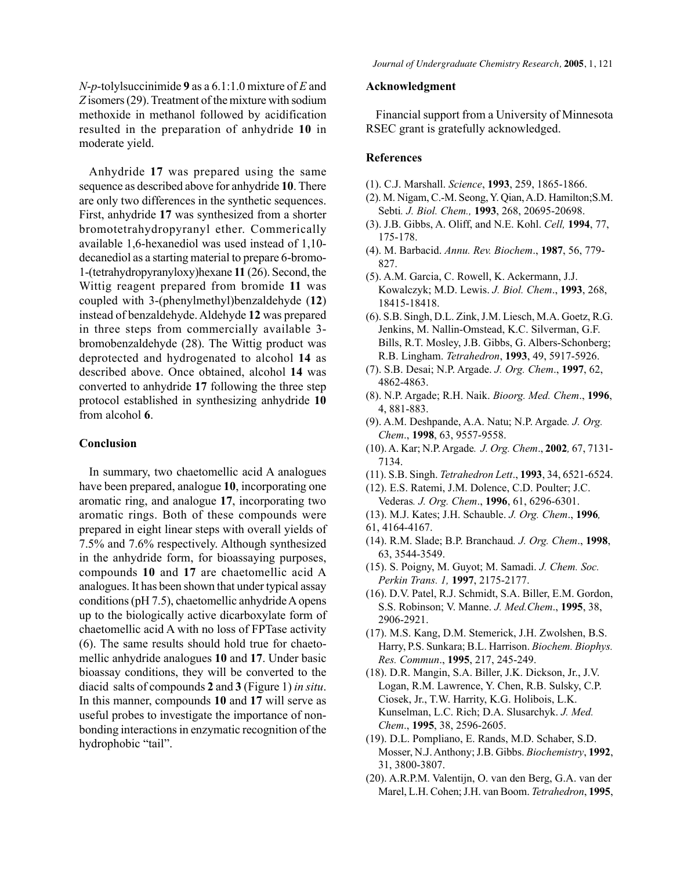*N*-*p*-tolylsuccinimide **9** as a 6.1:1.0 mixture of *E* and *Z* isomers (29). Treatment of the mixture with sodium methoxide in methanol followed by acidification resulted in the preparation of anhydride **10** in moderate yield.

Anhydride **17** was prepared using the same sequence as described above for anhydride **10**. There are only two differences in the synthetic sequences. First, anhydride **17** was synthesized from a shorter bromotetrahydropyranyl ether. Commerically available 1,6-hexanediol was used instead of 1,10 decanediol as a starting material to prepare 6-bromo-1-(tetrahydropyranyloxy)hexane **11** (26). Second, the Wittig reagent prepared from bromide **11** was coupled with 3-(phenylmethyl)benzaldehyde (**12**) instead of benzaldehyde. Aldehyde **12** was prepared in three steps from commercially available 3 bromobenzaldehyde (28). The Wittig product was deprotected and hydrogenated to alcohol **14** as described above. Once obtained, alcohol **14** was converted to anhydride **17** following the three step protocol established in synthesizing anhydride **10** from alcohol **6**.

#### **Conclusion**

In summary, two chaetomellic acid A analogues have been prepared, analogue **10**, incorporating one aromatic ring, and analogue **17**, incorporating two aromatic rings. Both of these compounds were prepared in eight linear steps with overall yields of 7.5% and 7.6% respectively. Although synthesized in the anhydride form, for bioassaying purposes, compounds **10** and **17** are chaetomellic acid A analogues. It has been shown that under typical assay conditions (pH 7.5), chaetomellic anhydride A opens up to the biologically active dicarboxylate form of chaetomellic acid A with no loss of FPTase activity (6). The same results should hold true for chaetomellic anhydride analogues **10** and **17**. Under basic bioassay conditions, they will be converted to the diacid salts of compounds **2** and **3** (Figure 1) *in situ*. In this manner, compounds **10** and **17** will serve as useful probes to investigate the importance of nonbonding interactions in enzymatic recognition of the hydrophobic "tail".

#### **Acknowledgment**

Financial support from a University of Minnesota RSEC grant is gratefully acknowledged.

#### **References**

- (1). C.J. Marshall. *Science*, **1993**, 259, 1865-1866.
- (2). M. Nigam, C.-M. Seong, Y. Qian, A.D. Hamilton;S.M. Sebti*. J. Biol. Chem.,* **1993**, 268, 20695-20698.
- (3). J.B. Gibbs, A. Oliff, and N.E. Kohl. *Cell,* **1994**, 77, 175-178.
- (4). M. Barbacid. *Annu. Rev. Biochem*., **1987**, 56, 779- 827.
- (5). A.M. Garcia, C. Rowell, K. Ackermann, J.J. Kowalczyk; M.D. Lewis. *J. Biol. Chem*., **1993**, 268, 18415-18418.
- (6). S.B. Singh, D.L. Zink, J.M. Liesch, M.A. Goetz, R.G. Jenkins, M. Nallin-Omstead, K.C. Silverman, G.F. Bills, R.T. Mosley, J.B. Gibbs, G. Albers-Schonberg; R.B. Lingham. *Tetrahedron*, **1993**, 49, 5917-5926.
- (7). S.B. Desai; N.P. Argade. *J. Org. Chem*., **1997**, 62, 4862-4863.
- (8). N.P. Argade; R.H. Naik. *Bioorg. Med. Chem*., **1996**, 4, 881-883.
- (9). A.M. Deshpande, A.A. Natu; N.P. Argade*. J. Org. Chem*., **1998**, 63, 9557-9558.
- (10). A. Kar; N.P. Argade*. J. Org. Chem*., **2002***,* 67, 7131- 7134.
- (11). S.B. Singh. *Tetrahedron Lett*., **1993**, 34, 6521-6524.
- (12). E.S. Ratemi, J.M. Dolence, C.D. Poulter; J.C. Vederas*. J. Org. Chem*., **1996**, 61, 6296-6301.
- (13). M.J. Kates; J.H. Schauble. *J. Org. Chem*., **1996***,* 61, 4164-4167.
- (14). R.M. Slade; B.P. Branchaud*. J. Org. Chem*., **1998**, 63, 3544-3549.
- (15). S. Poigny, M. Guyot; M. Samadi. *J. Chem. Soc. Perkin Trans. 1,* **1997**, 2175-2177.
- (16). D.V. Patel, R.J. Schmidt, S.A. Biller, E.M. Gordon, S.S. Robinson; V. Manne. *J. Med.Chem*., **1995**, 38, 2906-2921.
- (17). M.S. Kang, D.M. Stemerick, J.H. Zwolshen, B.S. Harry, P.S. Sunkara; B.L. Harrison. *Biochem. Biophys. Res. Commun*., **1995**, 217, 245-249.
- (18). D.R. Mangin, S.A. Biller, J.K. Dickson, Jr., J.V. Logan, R.M. Lawrence, Y. Chen, R.B. Sulsky, C.P. Ciosek, Jr., T.W. Harrity, K.G. Holibois, L.K. Kunselman, L.C. Rich; D.A. Slusarchyk. *J. Med. Chem*., **1995**, 38, 2596-2605.
- (19). D.L. Pompliano, E. Rands, M.D. Schaber, S.D. Mosser, N.J. Anthony; J.B. Gibbs. *Biochemistry*, **1992**, 31, 3800-3807.
- (20). A.R.P.M. Valentijn, O. van den Berg, G.A. van der Marel, L.H. Cohen; J.H. van Boom. *Tetrahedron*, **1995**,